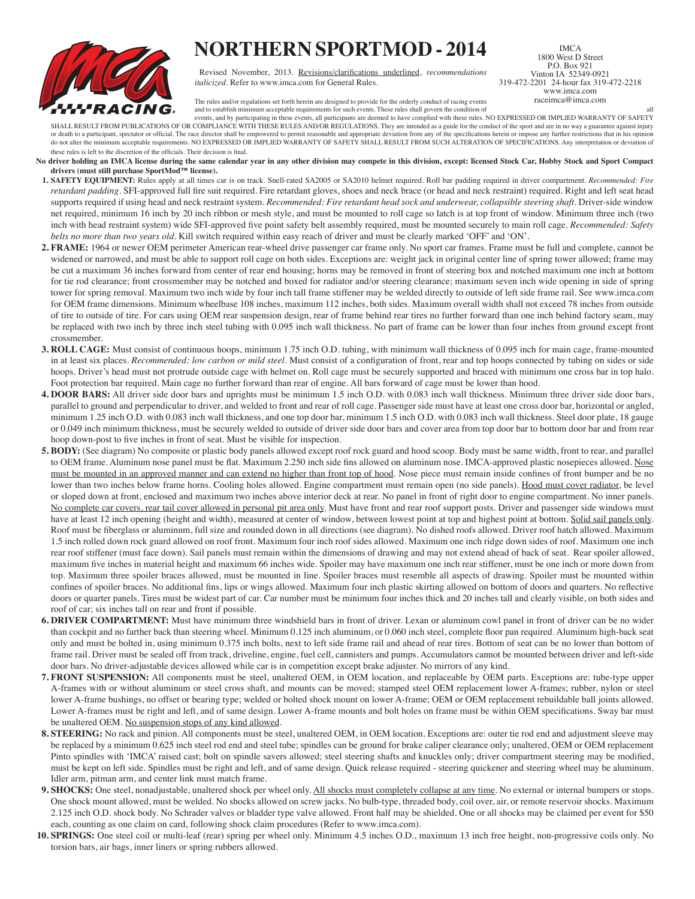

## **NORTHERN SPORTMOD - 2014**

Revised November, 2013. Revisions/clarifications underlined, *recommendations italicized*. Refer to www.imca.com for General Rules.

IMCA 1800 West D Street P.O. Box 921 Vinton IA 52349-0921 319-472-2201 24-hour fax 319-472-2218 www.imca.com raceimca@imca.com

The rules and/or regulations set forth herein are designed to provide for the orderly conduct of racing events and to establish minimum acceptable requirements for such events. These rules shall govern the condition of all

events, and by participating in these events, all participants are deemed to have complied with these rules. NO EXPRESSED OR IMPLIED WARRANTY OF SAFETY SHALL RESULT FROM PUBLICATIONS OF OR COMPLIANCE WITH THESE RULES AND/OR REGULATIONS. They are intended as a guide for the conduct of the sport and are in no way a guarantee against injury or death to a participant, spectator or official. The race director shall be empowered to permit reasonable and appropriate deviation from any of the specifications herein or impose any further restrictions that in his opi do not alter the minimum acceptable requirements. NO EXPRESSED OR IMPLIED WARRANTY OF SAFETY SHALL RESULT FROM SUCH ALTERATION OF SPECIFICATIONS. Any interpretation or deviation of these rules is left to the discretion of the officials. Their decision is final.

- **No driver holding an IMCA license during the same calendar year in any other division may compete in this division, except: licensed Stock Car, Hobby Stock and Sport Compact drivers (must still purchase SportMod™ license).**
- **1. SAFETY EQUIPMENT:** Rules apply at all times car is on track. Snell-rated SA2005 or SA2010 helmet required. Roll bar padding required in driver compartment. *Recommended: Fire retardant padding*. SFI-approved full fire suit required. Fire retardant gloves, shoes and neck brace (or head and neck restraint) required. Right and left seat head supports required if using head and neck restraint system. *Recommended: Fire retardant head sock and underwear, collapsible steering shaft*. Driver-side window net required, minimum 16 inch by 20 inch ribbon or mesh style, and must be mounted to roll cage so latch is at top front of window. Minimum three inch (two inch with head restraint system) wide SFI-approved five point safety belt assembly required, must be mounted securely to main roll cage. *Recommended: Safety belts no more than two years old*. Kill switch required within easy reach of driver and must be clearly marked 'OFF' and 'ON'.
- **2. FRAME:** 1964 or newer OEM perimeter American rear-wheel drive passenger car frame only. No sport car frames. Frame must be full and complete, cannot be widened or narrowed, and must be able to support roll cage on both sides. Exceptions are: weight jack in original center line of spring tower allowed; frame may be cut a maximum 36 inches forward from center of rear end housing; horns may be removed in front of steering box and notched maximum one inch at bottom for tie rod clearance; front crossmember may be notched and boxed for radiator and/or steering clearance; maximum seven inch wide opening in side of spring tower for spring removal. Maximum two inch wide by four inch tall frame stiffener may be welded directly to outside of left side frame rail. See www.imca.com for OEM frame dimensions. Minimum wheelbase 108 inches, maximum 112 inches, both sides. Maximum overall width shall not exceed 78 inches from outside of tire to outside of tire. For cars using OEM rear suspension design, rear of frame behind rear tires no further forward than one inch behind factory seam, may be replaced with two inch by three inch steel tubing with 0.095 inch wall thickness. No part of frame can be lower than four inches from ground except front crossmember.
- **3. ROLL CAGE:** Must consist of continuous hoops, minimum 1.75 inch O.D. tubing, with minimum wall thickness of 0.095 inch for main cage, frame-mounted in at least six places. *Recommended: low carbon or mild steel*. Must consist of a configuration of front, rear and top hoops connected by tubing on sides or side hoops. Driver's head must not protrude outside cage with helmet on. Roll cage must be securely supported and braced with minimum one cross bar in top halo. Foot protection bar required. Main cage no further forward than rear of engine. All bars forward of cage must be lower than hood.
- **4. DOOR BARS:** All driver side door bars and uprights must be minimum 1.5 inch O.D. with 0.083 inch wall thickness. Minimum three driver side door bars, parallel to ground and perpendicular to driver, and welded to front and rear of roll cage. Passenger side must have at least one cross door bar, horizontal or angled, minimum 1.25 inch O.D. with 0.083 inch wall thickness, and one top door bar, minimum 1.5 inch O.D. with 0.083 inch wall thickness. Steel door plate, 18 gauge or 0.049 inch minimum thickness, must be securely welded to outside of driver side door bars and cover area from top door bar to bottom door bar and from rear hoop down-post to five inches in front of seat. Must be visible for inspection.
- **5. BODY:** (See diagram) No composite or plastic body panels allowed except roof rock guard and hood scoop. Body must be same width, front to rear, and parallel to OEM frame. Aluminum nose panel must be flat. Maximum 2.250 inch side fins allowed on aluminum nose. IMCA-approved plastic nosepieces allowed. Nose must be mounted in an approved manner and can extend no higher than front top of hood. Nose piece must remain inside confines of front bumper and be no lower than two inches below frame horns. Cooling holes allowed. Engine compartment must remain open (no side panels). Hood must cover radiator, be level or sloped down at front, enclosed and maximum two inches above interior deck at rear. No panel in front of right door to engine compartment. No inner panels. No complete car covers, rear tail cover allowed in personal pit area only. Must have front and rear roof support posts. Driver and passenger side windows must have at least 12 inch opening (height and width), measured at center of window, between lowest point at top and highest point at bottom. Solid sail panels only. Roof must be fiberglass or aluminum, full size and rounded down in all directions (see diagram). No dished roofs allowed. Driver roof hatch allowed. Maximum 1.5 inch rolled down rock guard allowed on roof front. Maximum four inch roof sides allowed. Maximum one inch ridge down sides of roof. Maximum one inch rear roof stiffener (must face down). Sail panels must remain within the dimensions of drawing and may not extend ahead of back of seat. Rear spoiler allowed, maximum five inches in material height and maximum 66 inches wide. Spoiler may have maximum one inch rear stiffener, must be one inch or more down from top. Maximum three spoiler braces allowed, must be mounted in line. Spoiler braces must resemble all aspects of drawing. Spoiler must be mounted within confines of spoiler braces. No additional fins, lips or wings allowed. Maximum four inch plastic skirting allowed on bottom of doors and quarters. No reflective doors or quarter panels. Tires must be widest part of car. Car number must be minimum four inches thick and 20 inches tall and clearly visible, on both sides and roof of car; six inches tall on rear and front if possible.
- **6. DRIVER COMPARTMENT:** Must have minimum three windshield bars in front of driver. Lexan or aluminum cowl panel in front of driver can be no wider than cockpit and no farther back than steering wheel. Minimum 0.125 inch aluminum, or 0.060 inch steel, complete floor pan required. Aluminum high-back seat only and must be bolted in, using minimum 0.375 inch bolts, next to left side frame rail and ahead of rear tires. Bottom of seat can be no lower than bottom of frame rail. Driver must be sealed off from track, driveline, engine, fuel cell, cannisters and pumps. Accumulators cannot be mounted between driver and left-side door bars. No driver-adjustable devices allowed while car is in competition except brake adjuster. No mirrors of any kind.
- **7. FRONT SUSPENSION:** All components must be steel, unaltered OEM, in OEM location, and replaceable by OEM parts. Exceptions are: tube-type upper A-frames with or without aluminum or steel cross shaft, and mounts can be moved; stamped steel OEM replacement lower A-frames; rubber, nylon or steel lower A-frame bushings, no offset or bearing type; welded or bolted shock mount on lower A-frame; OEM or OEM replacement rebuildable ball joints allowed. Lower A-frames must be right and left, and of same design. Lower A-frame mounts and bolt holes on frame must be within OEM specifications. Sway bar must be unaltered OEM. No suspension stops of any kind allowed.
- **8. STEERING:** No rack and pinion. All components must be steel, unaltered OEM, in OEM location. Exceptions are: outer tie rod end and adjustment sleeve may be replaced by a minimum 0.625 inch steel rod end and steel tube; spindles can be ground for brake caliper clearance only; unaltered, OEM or OEM replacement Pinto spindles with 'IMCA' raised cast; bolt on spindle savers allowed; steel steering shafts and knuckles only; driver compartment steering may be modified, must be kept on left side. Spindles must be right and left, and of same design. Quick release required - steering quickener and steering wheel may be aluminum. Idler arm, pitman arm, and center link must match frame.
- **9. SHOCKS:** One steel, nonadjustable, unaltered shock per wheel only. All shocks must completely collapse at any time. No external or internal bumpers or stops. One shock mount allowed, must be welded. No shocks allowed on screw jacks. No bulb-type, threaded body, coil over, air, or remote reservoir shocks. Maximum 2.125 inch O.D. shock body. No Schrader valves or bladder type valve allowed. Front half may be shielded. One or all shocks may be claimed per event for \$50 each, counting as one claim on card, following shock claim procedures (Refer to www.imca.com).
- **10. SPRINGS:** One steel coil or multi-leaf (rear) spring per wheel only. Minimum 4.5 inches O.D., maximum 13 inch free height, non-progressive coils only. No torsion bars, air bags, inner liners or spring rubbers allowed.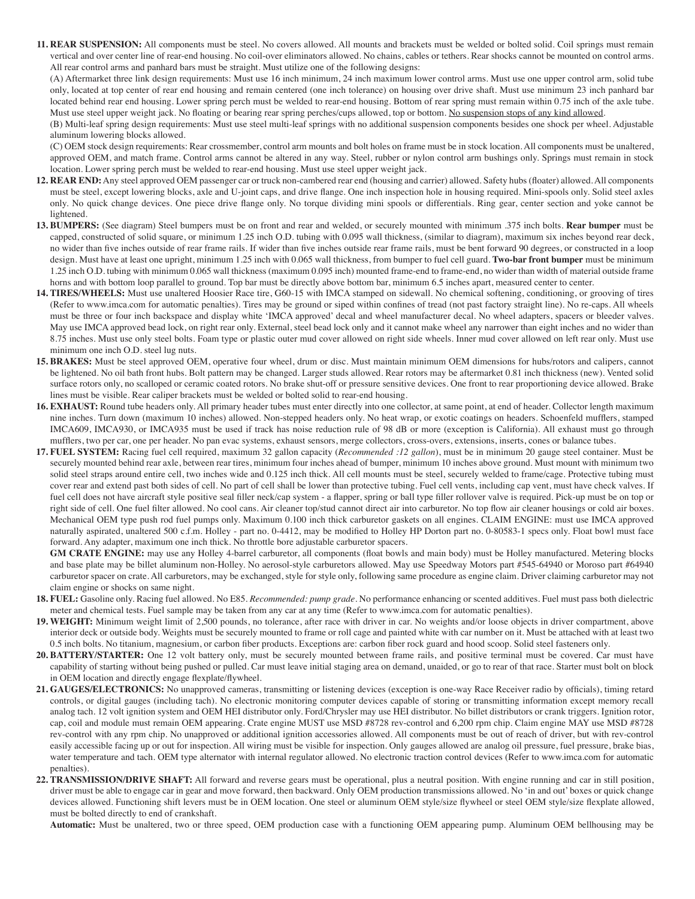**11. REAR SUSPENSION:** All components must be steel. No covers allowed. All mounts and brackets must be welded or bolted solid. Coil springs must remain vertical and over center line of rear-end housing. No coil-over eliminators allowed. No chains, cables or tethers. Rear shocks cannot be mounted on control arms. All rear control arms and panhard bars must be straight. Must utilize one of the following designs:

(A) Aftermarket three link design requirements: Must use 16 inch minimum, 24 inch maximum lower control arms. Must use one upper control arm, solid tube only, located at top center of rear end housing and remain centered (one inch tolerance) on housing over drive shaft. Must use minimum 23 inch panhard bar located behind rear end housing. Lower spring perch must be welded to rear-end housing. Bottom of rear spring must remain within 0.75 inch of the axle tube. Must use steel upper weight jack. No floating or bearing rear spring perches/cups allowed, top or bottom. No suspension stops of any kind allowed.

(B) Multi-leaf spring design requirements: Must use steel multi-leaf springs with no additional suspension components besides one shock per wheel. Adjustable aluminum lowering blocks allowed.

(C) OEM stock design requirements: Rear crossmember, control arm mounts and bolt holes on frame must be in stock location. All components must be unaltered, approved OEM, and match frame. Control arms cannot be altered in any way. Steel, rubber or nylon control arm bushings only. Springs must remain in stock location. Lower spring perch must be welded to rear-end housing. Must use steel upper weight jack.

- **12. REAR END:** Any steel approved OEM passenger car or truck non-cambered rear end (housing and carrier) allowed. Safety hubs (floater) allowed. All components must be steel, except lowering blocks, axle and U-joint caps, and drive flange. One inch inspection hole in housing required. Mini-spools only. Solid steel axles only. No quick change devices. One piece drive flange only. No torque dividing mini spools or differentials. Ring gear, center section and yoke cannot be lightened.
- **13. BUMPERS:** (See diagram) Steel bumpers must be on front and rear and welded, or securely mounted with minimum .375 inch bolts. **Rear bumper** must be capped, constructed of solid square, or minimum 1.25 inch O.D. tubing with 0.095 wall thickness, (similar to diagram), maximum six inches beyond rear deck, no wider than five inches outside of rear frame rails. If wider than five inches outside rear frame rails, must be bent forward 90 degrees, or constructed in a loop design. Must have at least one upright, minimum 1.25 inch with 0.065 wall thickness, from bumper to fuel cell guard. **Two-bar front bumper** must be minimum 1.25 inch O.D. tubing with minimum 0.065 wall thickness (maximum 0.095 inch) mounted frame-end to frame-end, no wider than width of material outside frame horns and with bottom loop parallel to ground. Top bar must be directly above bottom bar, minimum 6.5 inches apart, measured center to center.
- **14. TIRES/WHEELS:** Must use unaltered Hoosier Race tire, G60-15 with IMCA stamped on sidewall. No chemical softening, conditioning, or grooving of tires (Refer to www.imca.com for automatic penalties). Tires may be ground or siped within confines of tread (not past factory straight line). No re-caps. All wheels must be three or four inch backspace and display white 'IMCA approved' decal and wheel manufacturer decal. No wheel adapters, spacers or bleeder valves. May use IMCA approved bead lock, on right rear only. External, steel bead lock only and it cannot make wheel any narrower than eight inches and no wider than 8.75 inches. Must use only steel bolts. Foam type or plastic outer mud cover allowed on right side wheels. Inner mud cover allowed on left rear only. Must use minimum one inch O.D. steel lug nuts.
- **15. BRAKES:** Must be steel approved OEM, operative four wheel, drum or disc. Must maintain minimum OEM dimensions for hubs/rotors and calipers, cannot be lightened. No oil bath front hubs. Bolt pattern may be changed. Larger studs allowed. Rear rotors may be aftermarket 0.81 inch thickness (new). Vented solid surface rotors only, no scalloped or ceramic coated rotors. No brake shut-off or pressure sensitive devices. One front to rear proportioning device allowed. Brake lines must be visible. Rear caliper brackets must be welded or bolted solid to rear-end housing.
- **16. EXHAUST:** Round tube headers only. All primary header tubes must enter directly into one collector, at same point, at end of header. Collector length maximum nine inches. Turn down (maximum 10 inches) allowed. Non-stepped headers only. No heat wrap, or exotic coatings on headers. Schoenfeld mufflers, stamped IMCA609, IMCA930, or IMCA935 must be used if track has noise reduction rule of 98 dB or more (exception is California). All exhaust must go through mufflers, two per car, one per header. No pan evac systems, exhaust sensors, merge collectors, cross-overs, extensions, inserts, cones or balance tubes.
- **17. FUEL SYSTEM:** Racing fuel cell required, maximum 32 gallon capacity (*Recommended :12 gallon*), must be in minimum 20 gauge steel container. Must be securely mounted behind rear axle, between rear tires, minimum four inches ahead of bumper, minimum 10 inches above ground. Must mount with minimum two solid steel straps around entire cell, two inches wide and 0.125 inch thick. All cell mounts must be steel, securely welded to frame/cage. Protective tubing must cover rear and extend past both sides of cell. No part of cell shall be lower than protective tubing. Fuel cell vents, including cap vent, must have check valves. If fuel cell does not have aircraft style positive seal filler neck/cap system - a flapper, spring or ball type filler rollover valve is required. Pick-up must be on top or right side of cell. One fuel filter allowed. No cool cans. Air cleaner top/stud cannot direct air into carburetor. No top flow air cleaner housings or cold air boxes. Mechanical OEM type push rod fuel pumps only. Maximum 0.100 inch thick carburetor gaskets on all engines. CLAIM ENGINE: must use IMCA approved naturally aspirated, unaltered 500 c.f.m. Holley - part no. 0-4412, may be modified to Holley HP Dorton part no. 0-80583-1 specs only. Float bowl must face forward. Any adapter, maximum one inch thick. No throttle bore adjustable carburetor spacers.

 **GM CRATE ENGINE:** may use any Holley 4-barrel carburetor, all components (float bowls and main body) must be Holley manufactured. Metering blocks and base plate may be billet aluminum non-Holley. No aerosol-style carburetors allowed. May use Speedway Motors part #545-64940 or Moroso part #64940 carburetor spacer on crate. All carburetors, may be exchanged, style for style only, following same procedure as engine claim. Driver claiming carburetor may not claim engine or shocks on same night.

- **18. FUEL:** Gasoline only. Racing fuel allowed. No E85. *Recommended: pump grade*. No performance enhancing or scented additives. Fuel must pass both dielectric meter and chemical tests. Fuel sample may be taken from any car at any time (Refer to www.imca.com for automatic penalties).
- **19. WEIGHT:** Minimum weight limit of 2,500 pounds, no tolerance, after race with driver in car. No weights and/or loose objects in driver compartment, above interior deck or outside body. Weights must be securely mounted to frame or roll cage and painted white with car number on it. Must be attached with at least two 0.5 inch bolts. No titanium, magnesium, or carbon fiber products. Exceptions are: carbon fiber rock guard and hood scoop. Solid steel fasteners only.
- **20. BATTERY/STARTER:** One 12 volt battery only, must be securely mounted between frame rails, and positive terminal must be covered. Car must have capability of starting without being pushed or pulled. Car must leave initial staging area on demand, unaided, or go to rear of that race. Starter must bolt on block in OEM location and directly engage flexplate/flywheel.
- **21. GAUGES/ELECTRONICS:** No unapproved cameras, transmitting or listening devices (exception is one-way Race Receiver radio by officials), timing retard controls, or digital gauges (including tach). No electronic monitoring computer devices capable of storing or transmitting information except memory recall analog tach. 12 volt ignition system and OEM HEI distributor only. Ford/Chrysler may use HEI distributor. No billet distributors or crank triggers. Ignition rotor, cap, coil and module must remain OEM appearing. Crate engine MUST use MSD #8728 rev-control and 6,200 rpm chip. Claim engine MAY use MSD #8728 rev-control with any rpm chip. No unapproved or additional ignition accessories allowed. All components must be out of reach of driver, but with rev-control easily accessible facing up or out for inspection. All wiring must be visible for inspection. Only gauges allowed are analog oil pressure, fuel pressure, brake bias, water temperature and tach. OEM type alternator with internal regulator allowed. No electronic traction control devices (Refer to www.imca.com for automatic penalties).
- **22. TRANSMISSION/DRIVE SHAFT:** All forward and reverse gears must be operational, plus a neutral position. With engine running and car in still position, driver must be able to engage car in gear and move forward, then backward. Only OEM production transmissions allowed. No 'in and out' boxes or quick change devices allowed. Functioning shift levers must be in OEM location. One steel or aluminum OEM style/size flywheel or steel OEM style/size flexplate allowed, must be bolted directly to end of crankshaft.

**Automatic:** Must be unaltered, two or three speed, OEM production case with a functioning OEM appearing pump. Aluminum OEM bellhousing may be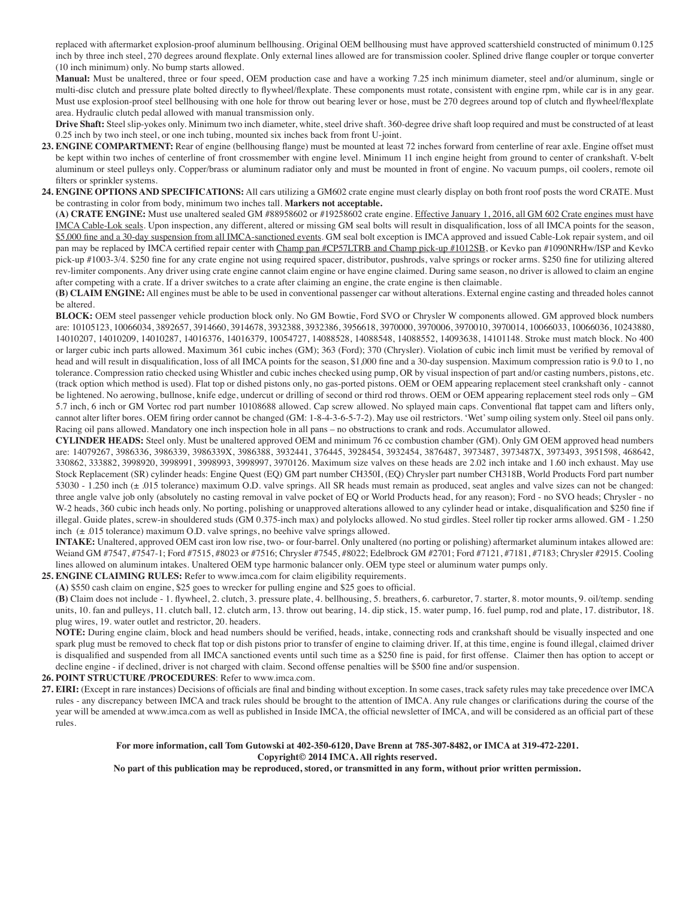replaced with aftermarket explosion-proof aluminum bellhousing. Original OEM bellhousing must have approved scattershield constructed of minimum 0.125 inch by three inch steel, 270 degrees around flexplate. Only external lines allowed are for transmission cooler. Splined drive flange coupler or torque converter (10 inch minimum) only. No bump starts allowed.

 **Manual:** Must be unaltered, three or four speed, OEM production case and have a working 7.25 inch minimum diameter, steel and/or aluminum, single or multi-disc clutch and pressure plate bolted directly to flywheel/flexplate. These components must rotate, consistent with engine rpm, while car is in any gear. Must use explosion-proof steel bellhousing with one hole for throw out bearing lever or hose, must be 270 degrees around top of clutch and flywheel/flexplate area. Hydraulic clutch pedal allowed with manual transmission only.

 **Drive Shaft:** Steel slip-yokes only. Minimum two inch diameter, white, steel drive shaft. 360-degree drive shaft loop required and must be constructed of at least 0.25 inch by two inch steel, or one inch tubing, mounted six inches back from front U-joint.

- 23. **ENGINE COMPARTMENT:** Rear of engine (bellhousing flange) must be mounted at least 72 inches forward from centerline of rear axle. Engine offset must be kept within two inches of centerline of front crossmember with engine level. Minimum 11 inch engine height from ground to center of crankshaft. V-belt aluminum or steel pulleys only. Copper/brass or aluminum radiator only and must be mounted in front of engine. No vacuum pumps, oil coolers, remote oil filters or sprinkler systems.
- **24. ENGINE OPTIONS AND SPECIFICATIONS:** All cars utilizing a GM602 crate engine must clearly display on both front roof posts the word CRATE. Must be contrasting in color from body, minimum two inches tall. **Markers not acceptable.**

**(A) CRATE ENGINE:** Must use unaltered sealed GM #88958602 or #19258602 crate engine. Effective January 1, 2016, all GM 602 Crate engines must have IMCA Cable-Lok seals. Upon inspection, any different, altered or missing GM seal bolts will result in disqualification, loss of all IMCA points for the season, \$5,000 fine and a 30-day suspension from all IMCA-sanctioned events. GM seal bolt exception is IMCA approved and issued Cable-Lok repair system, and oil pan may be replaced by IMCA certified repair center with Champ pan #CP57LTRB and Champ pick-up #1012SB, or Kevko pan #1090NRHw/ISP and Kevko pick-up #1003-3/4. \$250 fine for any crate engine not using required spacer, distributor, pushrods, valve springs or rocker arms. \$250 fine for utilizing altered rev-limiter components. Any driver using crate engine cannot claim engine or have engine claimed. During same season, no driver is allowed to claim an engine after competing with a crate. If a driver switches to a crate after claiming an engine, the crate engine is then claimable.

 **(B) CLAIM ENGINE:** All engines must be able to be used in conventional passenger car without alterations. External engine casting and threaded holes cannot be altered.

 **BLOCK:** OEM steel passenger vehicle production block only. No GM Bowtie, Ford SVO or Chrysler W components allowed. GM approved block numbers are: 10105123, 10066034, 3892657, 3914660, 3914678, 3932388, 3932386, 3956618, 3970000, 3970006, 3970010, 3970014, 10066033, 10066036, 10243880, 14010207, 14010209, 14010287, 14016376, 14016379, 10054727, 14088528, 14088548, 14088552, 14093638, 14101148. Stroke must match block. No 400 or larger cubic inch parts allowed. Maximum 361 cubic inches (GM); 363 (Ford); 370 (Chrysler). Violation of cubic inch limit must be verified by removal of head and will result in disqualification, loss of all IMCA points for the season, \$1,000 fine and a 30-day suspension. Maximum compression ratio is 9.0 to 1, no tolerance. Compression ratio checked using Whistler and cubic inches checked using pump, OR by visual inspection of part and/or casting numbers, pistons, etc. (track option which method is used). Flat top or dished pistons only, no gas-ported pistons. OEM or OEM appearing replacement steel crankshaft only - cannot be lightened. No aerowing, bullnose, knife edge, undercut or drilling of second or third rod throws. OEM or OEM appearing replacement steel rods only – GM 5.7 inch, 6 inch or GM Vortec rod part number 10108688 allowed. Cap screw allowed. No splayed main caps. Conventional flat tappet cam and lifters only, cannot alter lifter bores. OEM firing order cannot be changed (GM: 1-8-4-3-6-5-7-2). May use oil restrictors. 'Wet' sump oiling system only. Steel oil pans only. Racing oil pans allowed. Mandatory one inch inspection hole in all pans – no obstructions to crank and rods. Accumulator allowed.

**CYLINDER HEADS:** Steel only. Must be unaltered approved OEM and minimum 76 cc combustion chamber (GM). Only GM OEM approved head numbers are: 14079267, 3986336, 3986339, 3986339X, 3986388, 3932441, 376445, 3928454, 3932454, 3876487, 3973487, 3973487X, 3973493, 3951598, 468642, 330862, 333882, 3998920, 3998991, 3998993, 3998997, 3970126. Maximum size valves on these heads are 2.02 inch intake and 1.60 inch exhaust. May use Stock Replacement (SR) cylinder heads: Engine Quest (EQ) GM part number CH350I, (EQ) Chrysler part number CH318B, World Products Ford part number 53030 - 1.250 inch (± .015 tolerance) maximum O.D. valve springs. All SR heads must remain as produced, seat angles and valve sizes can not be changed: three angle valve job only (absolutely no casting removal in valve pocket of EQ or World Products head, for any reason); Ford - no SVO heads; Chrysler - no W-2 heads, 360 cubic inch heads only. No porting, polishing or unapproved alterations allowed to any cylinder head or intake, disqualification and \$250 fine if illegal. Guide plates, screw-in shouldered studs (GM 0.375-inch max) and polylocks allowed. No stud girdles. Steel roller tip rocker arms allowed. GM - 1.250 inch  $(\pm .015$  tolerance) maximum O.D. valve springs, no beehive valve springs allowed.

 **INTAKE:** Unaltered, approved OEM cast iron low rise, two- or four-barrel. Only unaltered (no porting or polishing) aftermarket aluminum intakes allowed are: Weiand GM #7547, #7547-1; Ford #7515, #8023 or #7516; Chrysler #7545, #8022; Edelbrock GM #2701; Ford #7121, #7181, #7183; Chrysler #2915. Cooling lines allowed on aluminum intakes. Unaltered OEM type harmonic balancer only. OEM type steel or aluminum water pumps only.

## **25. ENGINE CLAIMING RULES:** Refer to www.imca.com for claim eligibility requirements.

**(A)** \$550 cash claim on engine, \$25 goes to wrecker for pulling engine and \$25 goes to official.

**(B)** Claim does not include - 1. flywheel, 2. clutch, 3. pressure plate, 4. bellhousing, 5. breathers, 6. carburetor, 7. starter, 8. motor mounts, 9. oil/temp. sending units, 10. fan and pulleys, 11. clutch ball, 12. clutch arm, 13. throw out bearing, 14. dip stick, 15. water pump, 16. fuel pump, rod and plate, 17. distributor, 18. plug wires, 19. water outlet and restrictor, 20. headers.

 **NOTE:** During engine claim, block and head numbers should be verified, heads, intake, connecting rods and crankshaft should be visually inspected and one spark plug must be removed to check flat top or dish pistons prior to transfer of engine to claiming driver. If, at this time, engine is found illegal, claimed driver is disqualified and suspended from all IMCA sanctioned events until such time as a \$250 fine is paid, for first offense. Claimer then has option to accept or decline engine - if declined, driver is not charged with claim. Second offense penalties will be \$500 fine and/or suspension.

## **26. POINT STRUCTURE /PROCEDURES**: Refer to www.imca.com.

**27. EIRI:** (Except in rare instances) Decisions of officials are final and binding without exception. In some cases, track safety rules may take precedence over IMCA rules - any discrepancy between IMCA and track rules should be brought to the attention of IMCA. Any rule changes or clarifications during the course of the year will be amended at www.imca.com as well as published in Inside IMCA, the official newsletter of IMCA, and will be considered as an official part of these rules.

> **For more information, call Tom Gutowski at 402-350-6120, Dave Brenn at 785-307-8482, or IMCA at 319-472-2201. Copyright© 2014 IMCA. All rights reserved.**

> **No part of this publication may be reproduced, stored, or transmitted in any form, without prior written permission.**